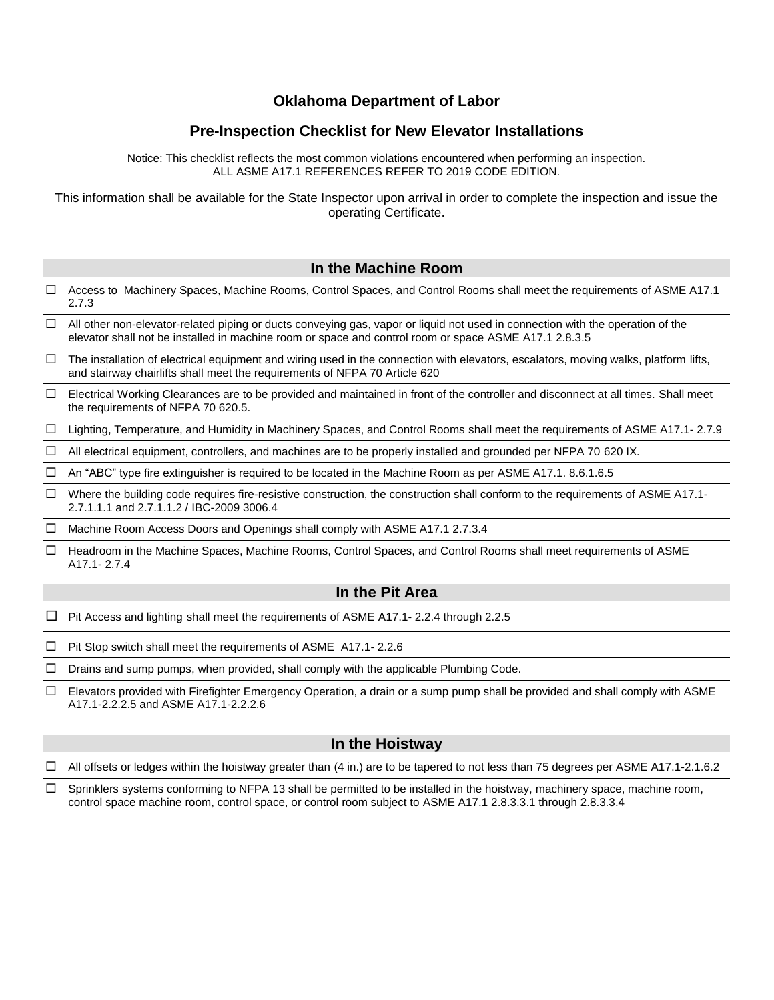## **Oklahoma Department of Labor**

# **Pre-Inspection Checklist for New Elevator Installations**

Notice: This checklist reflects the most common violations encountered when performing an inspection. ALL ASME A17.1 REFERENCES REFER TO 2019 CODE EDITION.

This information shall be available for the State Inspector upon arrival in order to complete the inspection and issue the operating Certificate.

### **In the Machine Room**

- □ Access to Machinery Spaces, Machine Rooms, Control Spaces, and Control Rooms shall meet the requirements of ASME A17.1 2.7.3
- $\Box$  All other non-elevator-related piping or ducts conveying gas, vapor or liquid not used in connection with the operation of the elevator shall not be installed in machine room or space and control room or space ASME A17.1 2.8.3.5
- $\Box$  The installation of electrical equipment and wiring used in the connection with elevators, escalators, moving walks, platform lifts, and stairway chairlifts shall meet the requirements of NFPA 70 Article 620
- Electrical Working Clearances are to be provided and maintained in front of the controller and disconnect at all times. Shall meet the requirements of NFPA 70 620.5.
- Lighting, Temperature, and Humidity in Machinery Spaces, and Control Rooms shall meet the requirements of ASME A17.1- 2.7.9
- $\Box$  All electrical equipment, controllers, and machines are to be properly installed and grounded per NFPA 70 620 IX.
- $\Box$  An "ABC" type fire extinguisher is required to be located in the Machine Room as per ASME A17.1. 8.6.1.6.5
- $\Box$  Where the building code requires fire-resistive construction, the construction shall conform to the requirements of ASME A17.1-2.7.1.1.1 and 2.7.1.1.2 / IBC-2009 3006.4

 $\Box$  Machine Room Access Doors and Openings shall comply with ASME A17.1 2.7.3.4

□ Headroom in the Machine Spaces, Machine Rooms, Control Spaces, and Control Rooms shall meet requirements of ASME A17.1- 2.7.4

#### **In the Pit Area**

- $\Box$  Pit Access and lighting shall meet the requirements of ASME A17.1- 2.2.4 through 2.2.5
- $\Box$  Pit Stop switch shall meet the requirements of ASME A17.1-2.2.6
- $\Box$  Drains and sump pumps, when provided, shall comply with the applicable Plumbing Code.
- $\Box$  Elevators provided with Firefighter Emergency Operation, a drain or a sump pump shall be provided and shall comply with ASME A17.1-2.2.2.5 and ASME A17.1-2.2.2.6

#### **In the Hoistway**

 $\Box$  All offsets or ledges within the hoistway greater than (4 in.) are to be tapered to not less than 75 degrees per ASME A17.1-2.1.6.2

 $\Box$  Sprinklers systems conforming to NFPA 13 shall be permitted to be installed in the hoistway, machinery space, machine room, control space machine room, control space, or control room subject to ASME A17.1 2.8.3.3.1 through 2.8.3.3.4